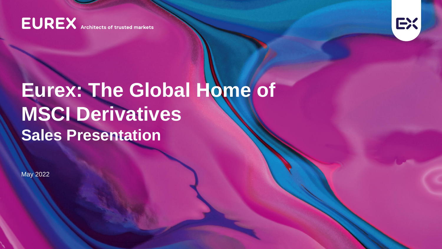**EUREX** Architects of trusted markets



# **Eurex: The Global Home of MSCI Derivatives Sales Presentation**

May 2022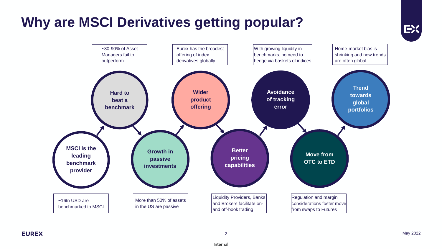# **Why are MSCI Derivatives getting popular?**



EX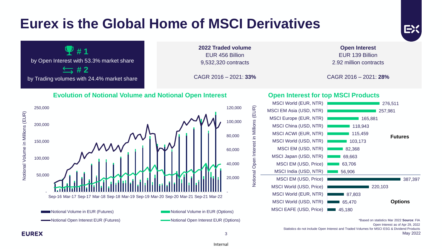# **Eurex is the Global Home of MSCI Derivatives**



EX

**EUREX** 

3 May 2022

Internal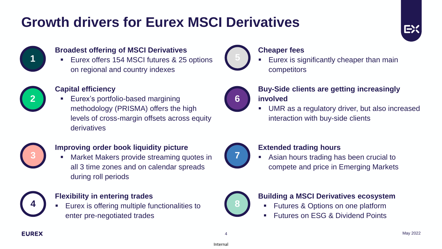# **Growth drivers for Eurex MSCI Derivatives**



#### **Broadest offering of MSCI Derivatives**

■ Eurex offers 154 MSCI futures & 25 options on regional and country indexes



#### **Capital efficiency**

■ Eurex's portfolio-based margining methodology (PRISMA) offers the high levels of cross-margin offsets across equity derivatives



#### **Improving order book liquidity picture**

Market Makers provide streaming quotes in all 3 time zones and on calendar spreads during roll periods



#### **Flexibility in entering trades**

▪ Eurex is offering multiple functionalities to **4 8** enter pre-negotiated trades



### **Cheaper fees**

Eurex is significantly cheaper than main competitors



### **Buy-Side clients are getting increasingly involved**

UMR as a regulatory driver, but also increased interaction with buy-side clients



#### **Extended trading hours**

Asian hours trading has been crucial to compete and price in Emerging Markets



#### **Building a MSCI Derivatives ecosystem**

- Futures & Options on one platform
- **Futures on ESG & Dividend Points**

EX: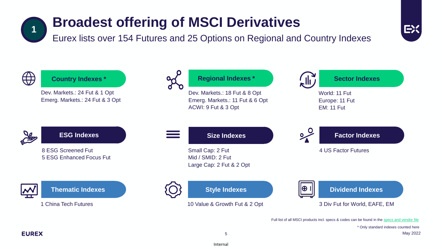### **Broadest offering of MSCI Derivatives 1**

Eurex lists over 154 Futures and 25 Options on Regional and Country Indexes



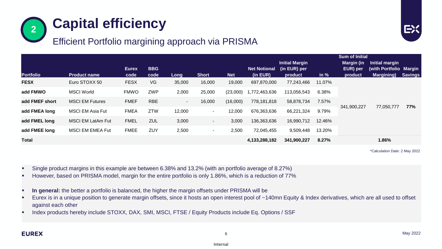



## Efficient Portfolio margining approach via PRISMA

|                  |                          |              |            |        |              |            |                     | <b>Sum of Initial</b> |        |             |                        |                   |
|------------------|--------------------------|--------------|------------|--------|--------------|------------|---------------------|-----------------------|--------|-------------|------------------------|-------------------|
|                  |                          |              |            |        |              |            |                     | <b>Initial Margin</b> |        | Margin (in  | Initial margin         |                   |
|                  |                          | <b>Eurex</b> | <b>BBG</b> |        |              |            | <b>Net Notional</b> | (in EUR) per          |        | EUR) per    | (with Portfolio Margin |                   |
| <b>Portfolio</b> | <b>Product name</b>      | code         | code       | Long   | <b>Short</b> | <b>Net</b> | (in EUR)            | product               | in $%$ | product     | <b>Margining</b> )     | <u>l S</u> avings |
| <b>FESX</b>      | Euro STOXX 50            | <b>FESX</b>  | VG         | 35,000 | 16,000       | 19,000     | 697,870,000         | 77,243,466            | 11.07% | 341,900,227 | 77,050,777             | 77%               |
| add FMWO         | <b>MSCI World</b>        | <b>FMWO</b>  | ZWP        | 2,000  | 25,000       | (23,000)   | 1,772,463,636       | 113,056,543           | 6.38%  |             |                        |                   |
| add FMEF short   | <b>MSCI EM Futures</b>   | <b>FMEF</b>  | <b>RBE</b> | $\sim$ | 16,000       | (16,000)   | 778,181,818         | 58,878,734            | 7.57%  |             |                        |                   |
| add FMEA long    | <b>MSCI EM Asia Fut</b>  | <b>FMEA</b>  | <b>ZTW</b> | 12,000 | $\sim$       | 12,000     | 676,363,636         | 66,221,324            | 9.79%  |             |                        |                   |
| add FMEL long    | <b>MSCI EM LatAm Fut</b> | <b>FMEL</b>  | <b>ZUL</b> | 3,000  | $\sim$       | 3,000      | 136,363,636         | 16,990,712            | 12.46% |             |                        |                   |
| add FMEE long    | <b>MSCI EM EMEA Fut</b>  | <b>FMEE</b>  | ZUY        | 2,500  | $\sim$       | 2,500      | 72,045,455          | 9,509,448             | 13.20% |             |                        |                   |
| <b>Total</b>     |                          |              |            |        |              |            | 4,133,288,182       | 341,900,227           | 8.27%  |             | 1.86%                  |                   |

\*Calculation Date: 2 May 2022

- Single product margins in this example are between 6.38% and 13.2% (with an portfolio average of 8.27%)
- However, based on PRISMA model, margin for the entire portfolio is only 1.86%, which is a reduction of 77%
- In general: the better a portfolio is balanced, the higher the margin offsets under PRISMA will be
- Eurex is in a unique position to generate margin offsets, since it hosts an open interest pool of ~140mn Equity & Index derivatives, which are all used to offset against each other
- Index products hereby include STOXX, DAX, SMI, MSCI, FTSE / Equity Products include Eq. Options / SSF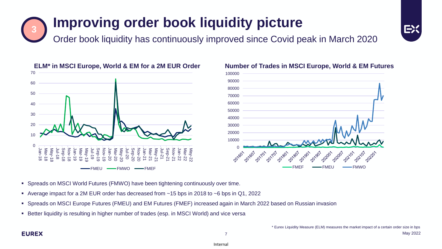## **Improving order book liquidity picture 3**

Order book liquidity has continuously improved since Covid peak in March 2020







#### **ELM\* in MSCI Europe, World & EM for a 2M EUR Order Number of Trades in MSCI Europe, World & EM Futures**

- Spreads on MSCI World Futures (FMWO) have been tightening continuously over time.
- Average impact for a 2M EUR order has decreased from ~15 bps in 2018 to ~6 bps in Q1, 2022
- Spreads on MSCI Europe Futures (FMEU) and EM Futures (FMEF) increased again in March 2022 based on Russian invasion
- Better liquidity is resulting in higher number of trades (esp. in MSCI World) and vice versa

Internal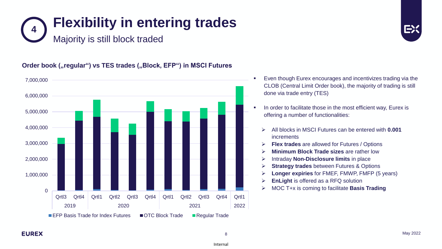



#### **Order book ("regular") vs TES trades ("Block, EFP") in MSCI Futures**



- Even though Eurex encourages and incentivizes trading via the CLOB (Central Limit Order book), the majority of trading is still done via trade entry (TES)
- In order to facilitate those in the most efficient way, Eurex is offering a number of functionalities:
	- ➢ All blocks in MSCI Futures can be entered with **0.001** increments
	- **Flex trades** are allowed for Futures / Options
	- **Minimum Block Trade sizes are rather low**
	- ➢ Intraday **Non-Disclosure limits** in place
	- **Strategy trades** between Futures & Options
	- ➢ **Longer expiries** for FMEF, FMWP, FMFP (5 years)
	- ➢ **EnLight** is offered as a RFQ solution
	- ➢ MOC T+x is coming to facilitate **Basis Trading**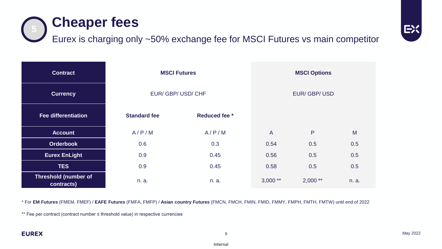

| <b>Contract</b>                           |                     | <b>MSCI Futures</b>  | <b>MSCI Options</b> |            |       |  |
|-------------------------------------------|---------------------|----------------------|---------------------|------------|-------|--|
| <b>Currency</b>                           |                     | EUR/GBP/USD/CHF      | EUR/GBP/USD         |            |       |  |
| <b>Fee differentiation</b>                | <b>Standard fee</b> | <b>Reduced fee</b> * |                     |            |       |  |
| <b>Account</b>                            | A/P/M               | A/P/M                | $\mathsf{A}$        | P          | M     |  |
| <b>Orderbook</b>                          | 0.6                 | 0.3                  | 0.54                | 0.5        | 0.5   |  |
| <b>Eurex EnLight</b>                      | 0.9                 | 0.45                 | 0.56                | 0.5        | 0.5   |  |
| <b>TES</b>                                | 0.9                 | 0.45                 | 0.58                | 0.5        | 0.5   |  |
| <b>Threshold (number of</b><br>contracts) | n. a.               | n. a.                | $3,000**$           | $2,000$ ** | n. a. |  |

\* For **EM Futures** (FMEM, FMEF) / **EAFE Futures** (FMFA, FMFP) / **Asian country Futures** (FMCN, FMCH, FMIN, FMID, FMMY, FMPH, FMTH, FMTW) until end of 2022

\*\* Fee per contract (contract number ≤ threshold value) in respective currencies

EX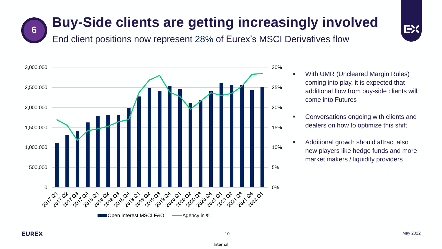## **Buy-Side clients are getting increasingly involved 6**



End client positions now represent 28% of Eurex's MSCI Derivatives flow



- With UMR (Uncleared Margin Rules) coming into play, it is expected that additional flow from buy-side clients will come into Futures
- Conversations ongoing with clients and dealers on how to optimize this shift
- Additional growth should attract also new players like hedge funds and more market makers / liquidity providers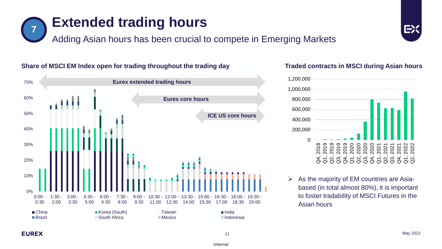

#### May 2022

EX





#### **Share of MSCI EM Index open for trading throughout the trading day**

**Extended trading hours 7**

Adding Asian hours has been crucial to compete in Emerging Markets



 $\triangleright$  As the majority of EM countries are Asia-

Asian hours

based (in total almost 80%), it is important to foster tradability of MSCI Futures in the

**Traded contracts in MSCI during Asian hours**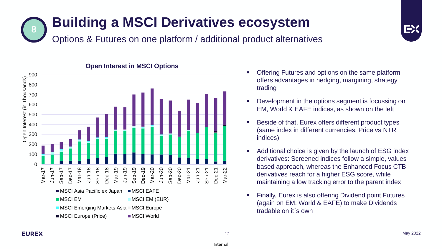## **Building a MSCI Derivatives ecosystem** Options & Futures on one platform / additional product alternatives **8**



**Open Interest in MSCI Options**

- Offering Futures and options on the same platform offers advantages in hedging, margining, strategy trading
- Development in the options segment is focussing on EM, World & EAFE indices, as shown on the left
- Beside of that, Eurex offers different product types (same index in different currencies, Price vs NTR indices)
- Additional choice is given by the launch of ESG index derivatives: Screened indices follow a simple, valuesbased approach, whereas the Enhanced Focus CTB derivatives reach for a higher ESG score, while maintaining a low tracking error to the parent index
- Finally, Eurex is also offering Dividend point Futures (again on EM, World & EAFE) to make Dividends tradable on it´s own

EX: